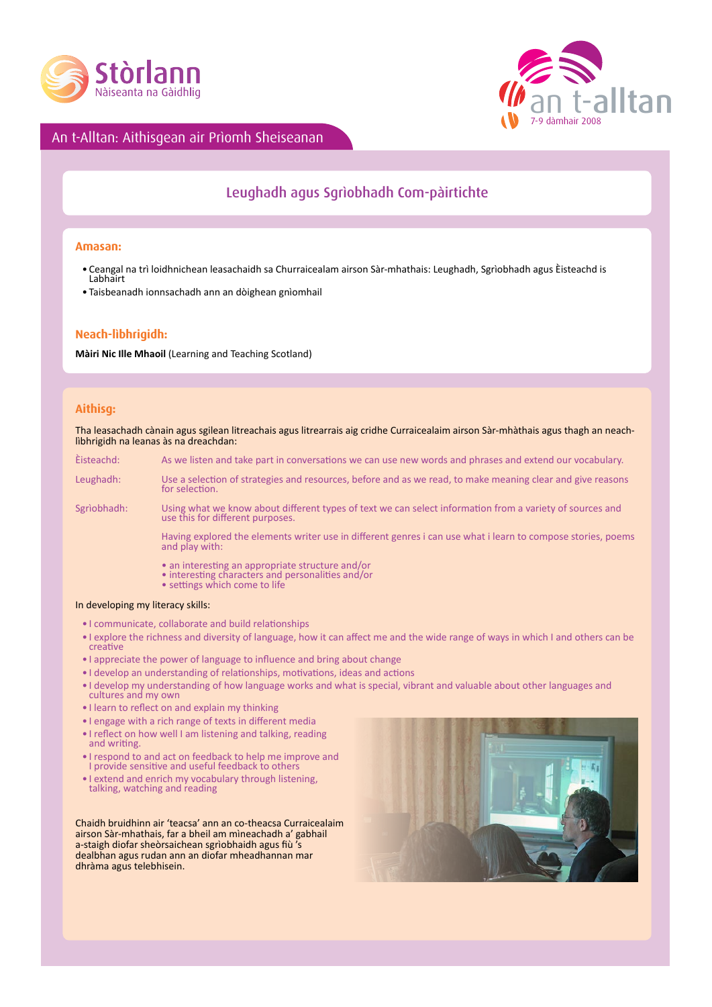



## An t-Alltan: Aithisgean air Prìomh Sheiseanan

# Leughadh agus Sgrìobhadh Com-pàirtichte

#### **Amasan:**

- Ceangal na trì loidhnichean leasachaidh sa Churraicealam airson Sàr-mhathais: Leughadh, Sgrìobhadh agus Èisteachd is<br>Labhairt
- • Taisbeanadh ionnsachadh ann an dòighean gnìomhail

### **Neach-lìbhrigidh:**

**Màiri Nic Ille Mhaoil** (Learning and Teaching Scotland)

#### **Aithisg:**

Tha leasachadh cànain agus sgilean litreachais agus litrearrais aig cridhe Curraicealaim airson Sàr-mhàthais agus thagh an neachlìbhrigidh na leanas às na dreachdan:

Èisteachd: As we listen and take part in conversations we can use new words and phrases and extend our vocabulary.

Leughadh: Use a selection of strategies and resources, before and as we read, to make meaning clear and give reasons **for selection**.

Sgrìobhadh: Using what we know about different types of text we can select information from a variety of sources and use this for different purposes.

 Having explored the elements writer use in different genres i can use what i learn to compose stories, poems  $\mathbf{a}$  and play with:

- an interesting an appropriate structure and/or<br>• interesting characters and personalities and/or<br>• settings which come to life
- 
- 

#### In developing my literacy skills:

- • I communicate, collaborate and build relationships
- • I explore the richness and diversity of language, how it can affect me and the wide range of ways in which I and others can be creative
- • I appreciate the power of language to influence and bring about change
- • I develop an understanding of relationships, motivations, ideas and actions
- • I develop my understanding of how language works and what is special, vibrant and valuable about other languages and cultures and my own
- • I learn to reflect on and explain my thinking
- • I engage with a rich range of texts in different media
- I reflect on how well I am listening and talking, reading and writing.
- • I respond to and act on feedback to help me improve and I provide sensitive and useful feedback to others
- • I extend and enrich my vocabulary through listening, talking, watching and reading

Chaidh bruidhinn air 'teacsa' ann an co-theacsa Curraicealaim airson Sàr-mhathais, far a bheil am mìneachadh a' gabhail a-staigh diofar sheòrsaichean sgrìobhaidh agus fiù 's dealbhan agus rudan ann an diofar mheadhannan mar dhràma agus telebhisein.